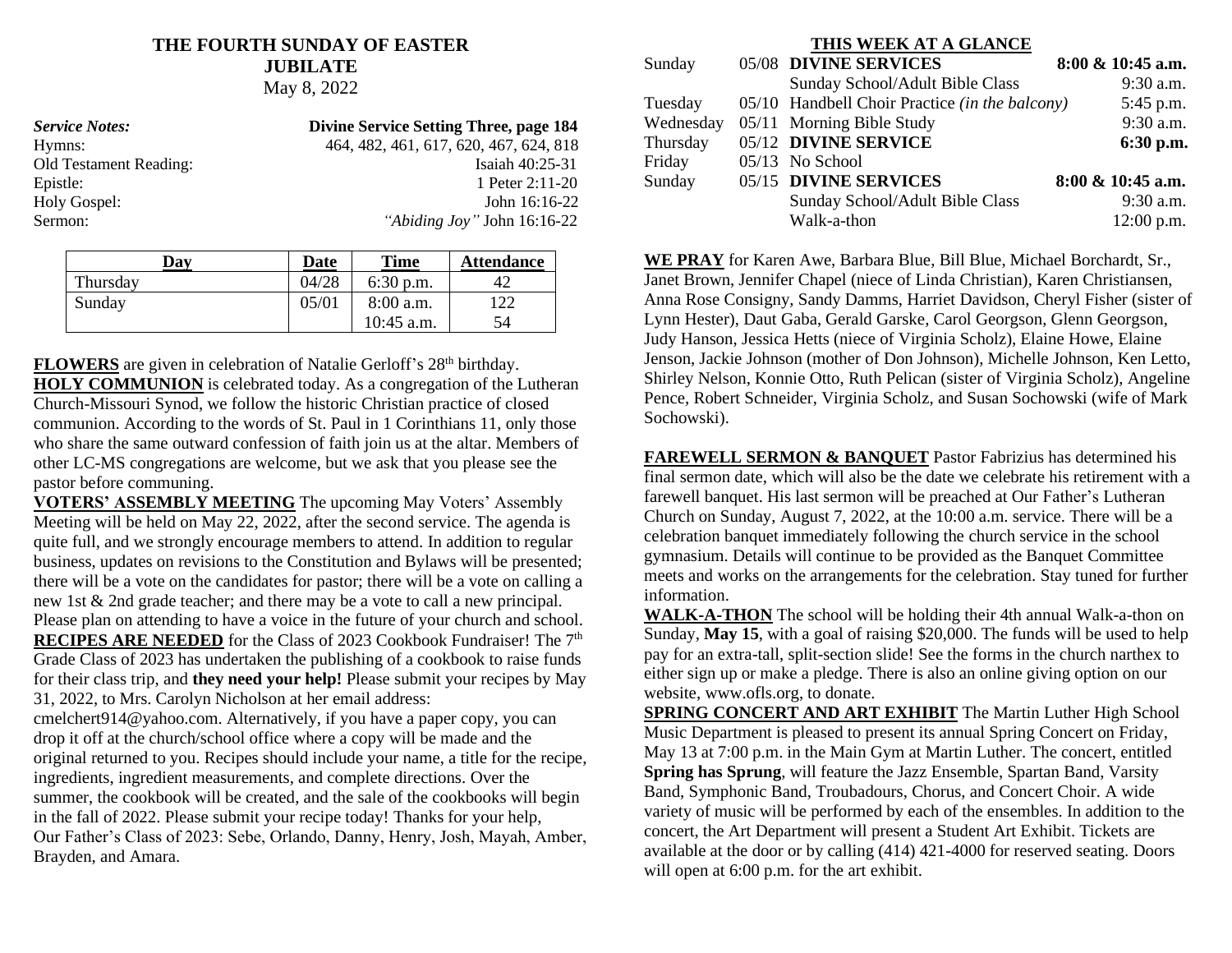## **THE FOURTH SUNDAY OF EASTER JUBILATE** May 8, 2022

| <b>Service Notes:</b>  | <b>Divine Service Setting Three, page 184</b> |
|------------------------|-----------------------------------------------|
| Hymns:                 | 464, 482, 461, 617, 620, 467, 624, 818        |
| Old Testament Reading: | Isaiah 40:25-31                               |
| Epistle:               | 1 Peter 2:11-20                               |
| Holy Gospel:           | John $16:16-22$                               |
| Sermon:                | "Abiding Joy" John 16:16-22                   |

| Day      | Date  | <b>Time</b>  | <b>Attendance</b> |
|----------|-------|--------------|-------------------|
| Thursday | 04/28 | $6:30$ p.m.  |                   |
| Sunday   | 05/01 | 8:00 a.m.    | 122               |
|          |       | $10:45$ a.m. | 54                |

**FLOWERS** are given in celebration of Natalie Gerloff's 28<sup>th</sup> birthday. **HOLY COMMUNION** is celebrated today. As a congregation of the Lutheran Church-Missouri Synod, we follow the historic Christian practice of closed communion. According to the words of St. Paul in 1 Corinthians 11, only those who share the same outward confession of faith join us at the altar. Members of other LC-MS congregations are welcome, but we ask that you please see the pastor before communing.

**VOTERS' ASSEMBLY MEETING** The upcoming May Voters' Assembly Meeting will be held on May 22, 2022, after the second service. The agenda is quite full, and we strongly encourage members to attend. In addition to regular business, updates on revisions to the Constitution and Bylaws will be presented; there will be a vote on the candidates for pastor; there will be a vote on calling a new 1st & 2nd grade teacher; and there may be a vote to call a new principal. Please plan on attending to have a voice in the future of your church and school. **RECIPES ARE NEEDED** for the Class of 2023 Cookbook Fundraiser! The 7<sup>th</sup> Grade Class of 2023 has undertaken the publishing of a cookbook to raise funds for their class trip, and **they need your help!** Please submit your recipes by May 31, 2022, to Mrs. Carolyn Nicholson at her email address:

cmelchert914@yahoo.com. Alternatively, if you have a paper copy, you can drop it off at the church/school office where a copy will be made and the original returned to you. Recipes should include your name, a title for the recipe, ingredients, ingredient measurements, and complete directions. Over the summer, the cookbook will be created, and the sale of the cookbooks will begin in the fall of 2022. Please submit your recipe today! Thanks for your help, Our Father's Class of 2023: Sebe, Orlando, Danny, Henry, Josh, Mayah, Amber, Brayden, and Amara.

#### **THIS WEEK AT A GLANCE**

| Sunday    | 05/08 DIVINE SERVICES                          | 8:00 & 10:45 a.m.    |
|-----------|------------------------------------------------|----------------------|
|           | Sunday School/Adult Bible Class                | $9:30$ a.m.          |
| Tuesday   | 05/10 Handbell Choir Practice (in the balcony) | 5:45 p.m.            |
| Wednesday | 05/11 Morning Bible Study                      | 9:30 a.m.            |
| Thursday  | 05/12 DIVINE SERVICE                           | 6:30 p.m.            |
| Friday    | $05/13$ No School                              |                      |
| Sunday    | 05/15 DIVINE SERVICES                          | $8:00 \& 10:45$ a.m. |
|           | Sunday School/Adult Bible Class                | $9:30$ a.m.          |
|           | Walk-a-thon                                    | $12:00$ p.m.         |

**WE PRAY** for Karen Awe, Barbara Blue, Bill Blue, Michael Borchardt, Sr., Janet Brown, Jennifer Chapel (niece of Linda Christian), Karen Christiansen, Anna Rose Consigny, Sandy Damms, Harriet Davidson, Cheryl Fisher (sister of Lynn Hester), Daut Gaba, Gerald Garske, Carol Georgson, Glenn Georgson, Judy Hanson, Jessica Hetts (niece of Virginia Scholz), Elaine Howe, Elaine Jenson, Jackie Johnson (mother of Don Johnson), Michelle Johnson, Ken Letto, Shirley Nelson, Konnie Otto, Ruth Pelican (sister of Virginia Scholz), Angeline Pence, Robert Schneider, Virginia Scholz, and Susan Sochowski (wife of Mark Sochowski).

**FAREWELL SERMON & BANQUET** Pastor Fabrizius has determined his final sermon date, which will also be the date we celebrate his retirement with a farewell banquet. His last sermon will be preached at Our Father's Lutheran Church on Sunday, August 7, 2022, at the 10:00 a.m. service. There will be a celebration banquet immediately following the church service in the school gymnasium. Details will continue to be provided as the Banquet Committee meets and works on the arrangements for the celebration. Stay tuned for further information.

**WALK-A-THON** The school will be holding their 4th annual Walk-a-thon on Sunday, **May 15**, with a goal of raising \$20,000. The funds will be used to help pay for an extra-tall, split-section slide! See the forms in the church narthex to either sign up or make a pledge. There is also an online giving option on our website, www.ofls.org, to donate.

**SPRING CONCERT AND ART EXHIBIT** The Martin Luther High School Music Department is pleased to present its annual Spring Concert on Friday, May 13 at 7:00 p.m. in the Main Gym at Martin Luther. The concert, entitled **Spring has Sprung**, will feature the Jazz Ensemble, Spartan Band, Varsity Band, Symphonic Band, Troubadours, Chorus, and Concert Choir. A wide variety of music will be performed by each of the ensembles. In addition to the concert, the Art Department will present a Student Art Exhibit. Tickets are available at the door or by calling (414) 421-4000 for reserved seating. Doors will open at 6:00 p.m. for the art exhibit.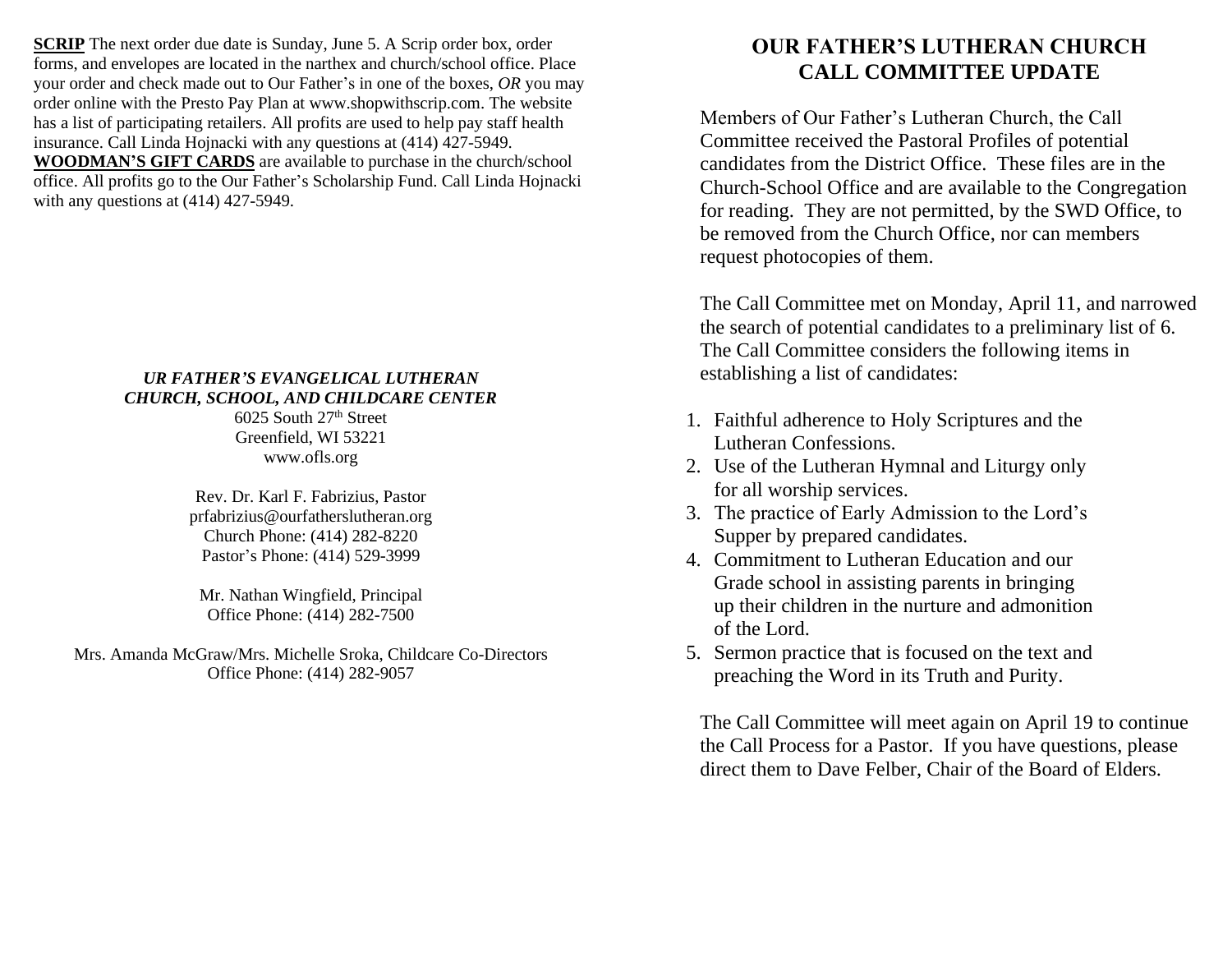**SCRIP** The next order due date is Sunday, June 5. A Scrip order box, order forms, and envelopes are located in the narthex and church/school office. Place your order and check made out to Our Father's in one of the boxes, *OR* you may order online with the Presto Pay Plan at www.shopwithscrip.com. The website has a list of participating retailers. All profits are used to help pay staff health insurance. Call Linda Hojnacki with any questions at (414) 427-5949. **WOODMAN'S GIFT CARDS** are available to purchase in the church/school office. All profits go to the Our Father's Scholarship Fund. Call Linda Hojnacki with any questions at  $(414)$  427-5949.

## *UR FATHER'S EVANGELICAL LUTHERAN CHURCH, SCHOOL, AND CHILDCARE CENTER*

6025 South 27<sup>th</sup> Street Greenfield, WI 53221 www.ofls.org

Rev. Dr. Karl F. Fabrizius, Pastor prfabrizius@ourfatherslutheran.org Church Phone: (414) 282-8220 Pastor's Phone: (414) 529-3999

Mr. Nathan Wingfield, Principal Office Phone: (414) 282-7500

Mrs. Amanda McGraw/Mrs. Michelle Sroka, Childcare Co-Directors Office Phone: (414) 282-9057

# **OUR FATHER'S LUTHERAN CHURCH CALL COMMITTEE UPDATE**

Members of Our Father's Lutheran Church, the Call Committee received the Pastoral Profiles of potential candidates from the District Office. These files are in the Church-School Office and are available to the Congregation for reading. They are not permitted, by the SWD Office, to be removed from the Church Office, nor can members request photocopies of them.

The Call Committee met on Monday, April 11, and narrowed the search of potential candidates to a preliminary list of 6. The Call Committee considers the following items in establishing a list of candidates:

- 1. Faithful adherence to Holy Scriptures and the Lutheran Confessions.
- 2. Use of the Lutheran Hymnal and Liturgy only for all worship services.
- 3. The practice of Early Admission to the Lord's Supper by prepared candidates.
- 4. Commitment to Lutheran Education and our Grade school in assisting parents in bringing up their children in the nurture and admonition of the Lord.
- 5. Sermon practice that is focused on the text and preaching the Word in its Truth and Purity.

The Call Committee will meet again on April 19 to continue the Call Process for a Pastor. If you have questions, please direct them to Dave Felber, Chair of the Board of Elders.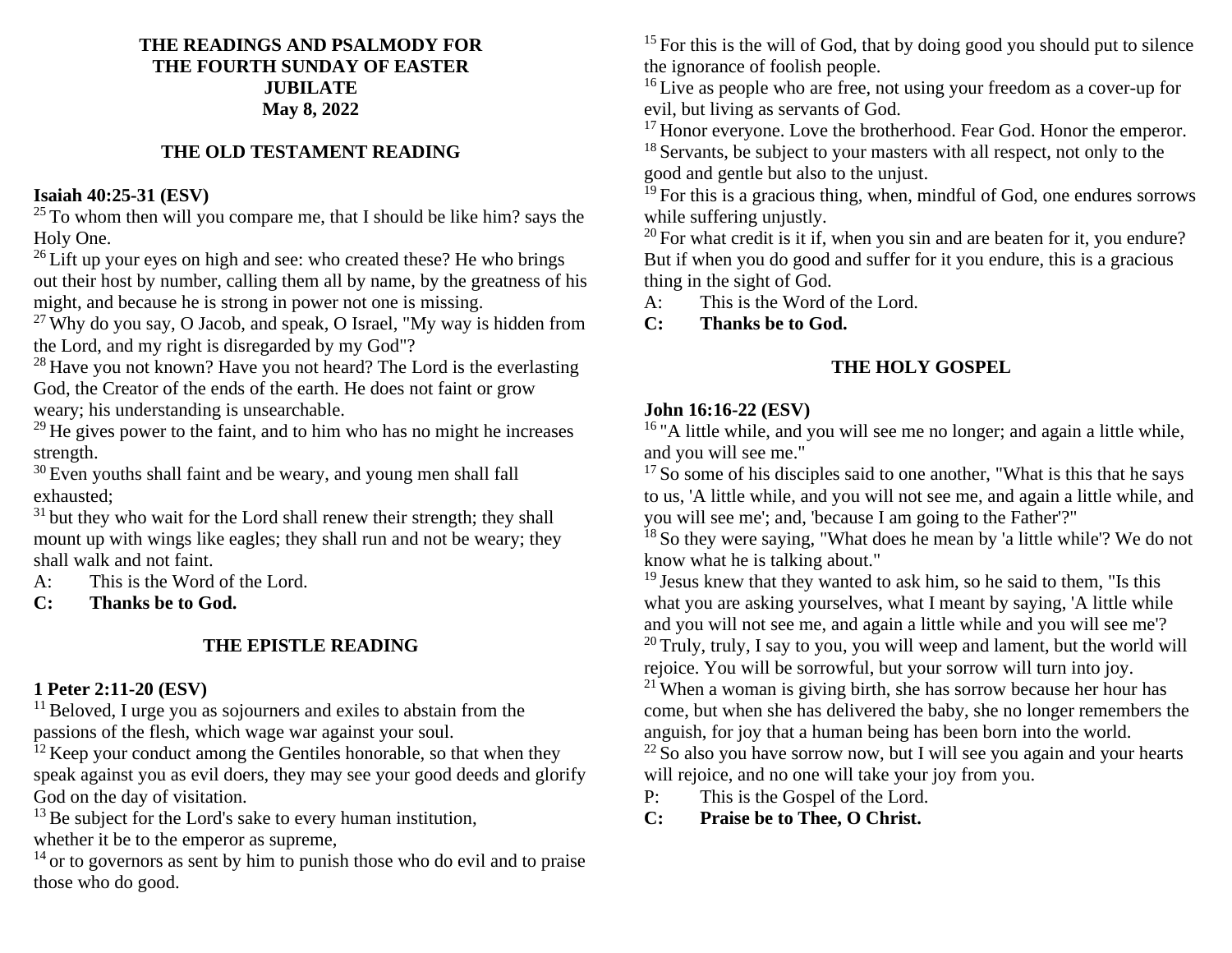## **THE READINGS AND PSALMODY FOR THE FOURTH SUNDAY OF EASTER JUBILATE May 8, 2022**

# **THE OLD TESTAMENT READING**

# **Isaiah 40:25-31 (ESV)**

 $25$  To whom then will you compare me, that I should be like him? says the Holy One.

 $26$  Lift up your eyes on high and see: who created these? He who brings out their host by number, calling them all by name, by the greatness of his might, and because he is strong in power not one is missing.

 $^{27}$  Why do you say, O Jacob, and speak, O Israel, "My way is hidden from the Lord, and my right is disregarded by my God"?

 $28$  Have you not known? Have you not heard? The Lord is the everlasting God, the Creator of the ends of the earth. He does not faint or grow weary; his understanding is unsearchable.

 $^{29}$  He gives power to the faint, and to him who has no might he increases strength.

<sup>30</sup> Even youths shall faint and be weary, and young men shall fall exhausted;

 $31$  but they who wait for the Lord shall renew their strength; they shall mount up with wings like eagles; they shall run and not be weary; they shall walk and not faint.

A: This is the Word of the Lord.

**C: Thanks be to God.**

# **THE EPISTLE READING**

# **1 Peter 2:11-20 (ESV)**

 $11$  Beloved, I urge you as sojourners and exiles to abstain from the passions of the flesh, which wage war against your soul.

 $12$  Keep your conduct among the Gentiles honorable, so that when they speak against you as evil doers, they may see your good deeds and glorify God on the day of visitation.

 $13$  Be subject for the Lord's sake to every human institution,

whether it be to the emperor as supreme,

 $14$  or to governors as sent by him to punish those who do evil and to praise those who do good.

 $15$  For this is the will of God, that by doing good you should put to silence the ignorance of foolish people.

<sup>16</sup> Live as people who are free, not using your freedom as a cover-up for evil, but living as servants of God.

 $17$  Honor everyone. Love the brotherhood. Fear God. Honor the emperor. <sup>18</sup> Servants, be subject to your masters with all respect, not only to the good and gentle but also to the unjust.

 $19$  For this is a gracious thing, when, mindful of God, one endures sorrows while suffering unjustly.

 $20$  For what credit is it if, when you sin and are beaten for it, you endure? But if when you do good and suffer for it you endure, this is a gracious thing in the sight of God.

A: This is the Word of the Lord.

**C: Thanks be to God.**

# **THE HOLY GOSPEL**

# **John 16:16-22 (ESV)**

<sup>16</sup> "A little while, and you will see me no longer; and again a little while, and you will see me."

<sup>17</sup> So some of his disciples said to one another, "What is this that he says to us, 'A little while, and you will not see me, and again a little while, and you will see me'; and, 'because I am going to the Father'?"

<sup>18</sup> So they were saying, "What does he mean by 'a little while'? We do not know what he is talking about."

 $19$  Jesus knew that they wanted to ask him, so he said to them, "Is this what you are asking yourselves, what I meant by saying, 'A little while and you will not see me, and again a little while and you will see me'?  $20$  Truly, truly, I say to you, you will weep and lament, but the world will

rejoice. You will be sorrowful, but your sorrow will turn into joy.

 $21$  When a woman is giving birth, she has sorrow because her hour has come, but when she has delivered the baby, she no longer remembers the anguish, for joy that a human being has been born into the world.

 $22$  So also you have sorrow now, but I will see you again and your hearts will rejoice, and no one will take your joy from you.

P: This is the Gospel of the Lord.

**C: Praise be to Thee, O Christ.**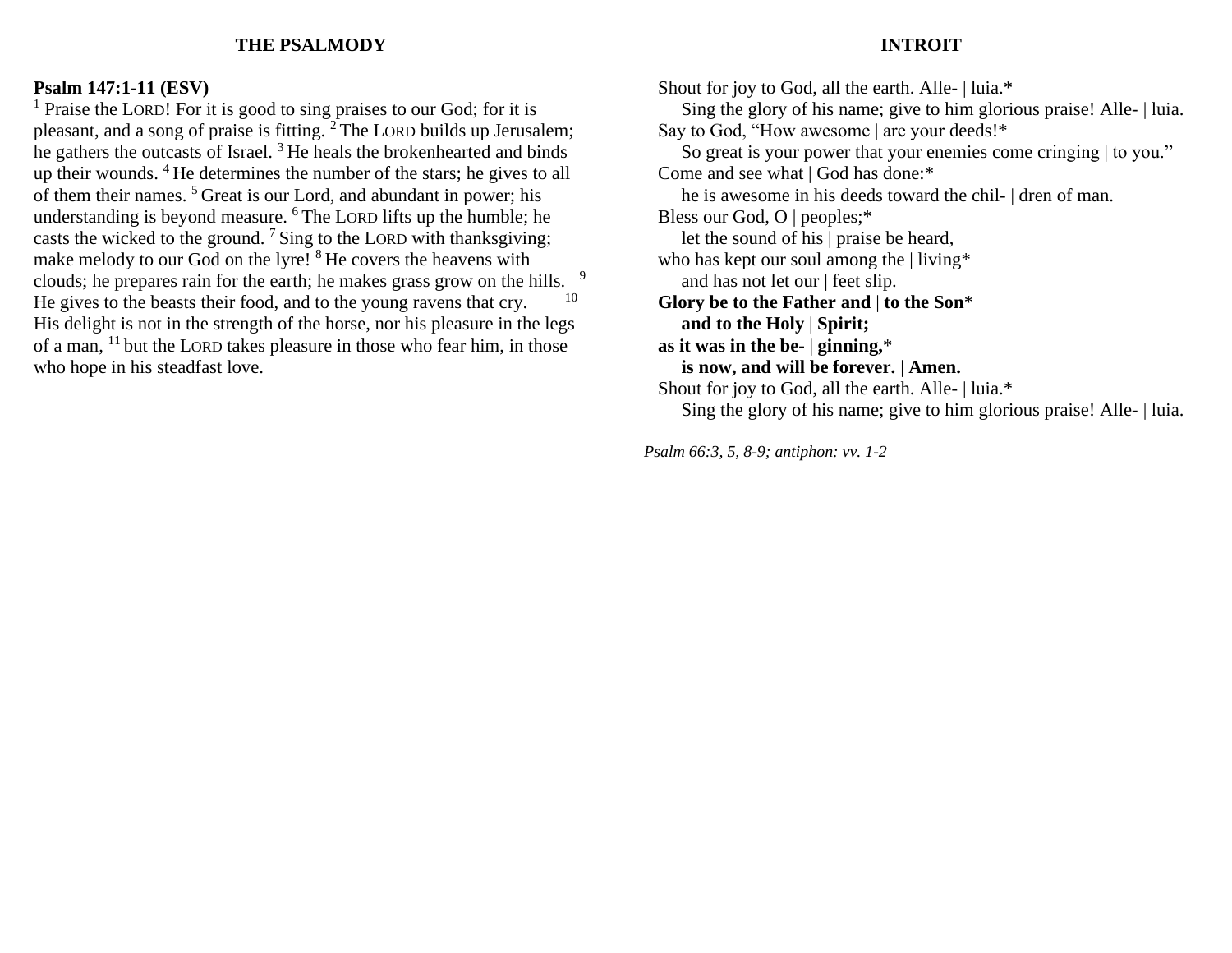### **THE PSALMODY**

#### **INTROIT**

#### **Psalm 147:1-11 (ESV)**

<sup>1</sup> Praise the LORD! For it is good to sing praises to our God; for it is pleasant, and a song of praise is fitting.  ${}^{2}$  The LORD builds up Jerusalem; he gathers the outcasts of Israel.  $3$  He heals the brokenhearted and binds up their wounds. <sup>4</sup>He determines the number of the stars; he gives to all of them their names. <sup>5</sup>Great is our Lord, and abundant in power; his understanding is beyond measure. <sup>6</sup> The LORD lifts up the humble; he casts the wicked to the ground.  $7 \text{Sing}$  to the LORD with thanksgiving; make melody to our God on the lyre! <sup>8</sup>He covers the heavens with clouds; he prepares rain for the earth; he makes grass grow on the hills. 9 He gives to the beasts their food, and to the young ravens that cry. 10 His delight is not in the strength of the horse, nor his pleasure in the legs of a man,  $11$  but the LORD takes pleasure in those who fear him, in those who hope in his steadfast love.

Shout for joy to God, all the earth. Alle- | luia.\* Sing the glory of his name; give to him glorious praise! Alle- | luia. Say to God, "How awesome | are your deeds!\* So great is your power that your enemies come cringing | to you." Come and see what | God has done:\* he is awesome in his deeds toward the chil- | dren of man. Bless our God, O | peoples;\* let the sound of his | praise be heard, who has kept our soul among the | living\* and has not let our | feet slip. **Glory be to the Father and** | **to the Son**\*  **and to the Holy** | **Spirit; as it was in the be-** | **ginning,**\*  **is now, and will be forever.** | **Amen.** Shout for joy to God, all the earth. Alle- | luia.\* Sing the glory of his name; give to him glorious praise! Alle- | luia.

*Psalm 66:3, 5, 8-9; antiphon: vv. 1-2*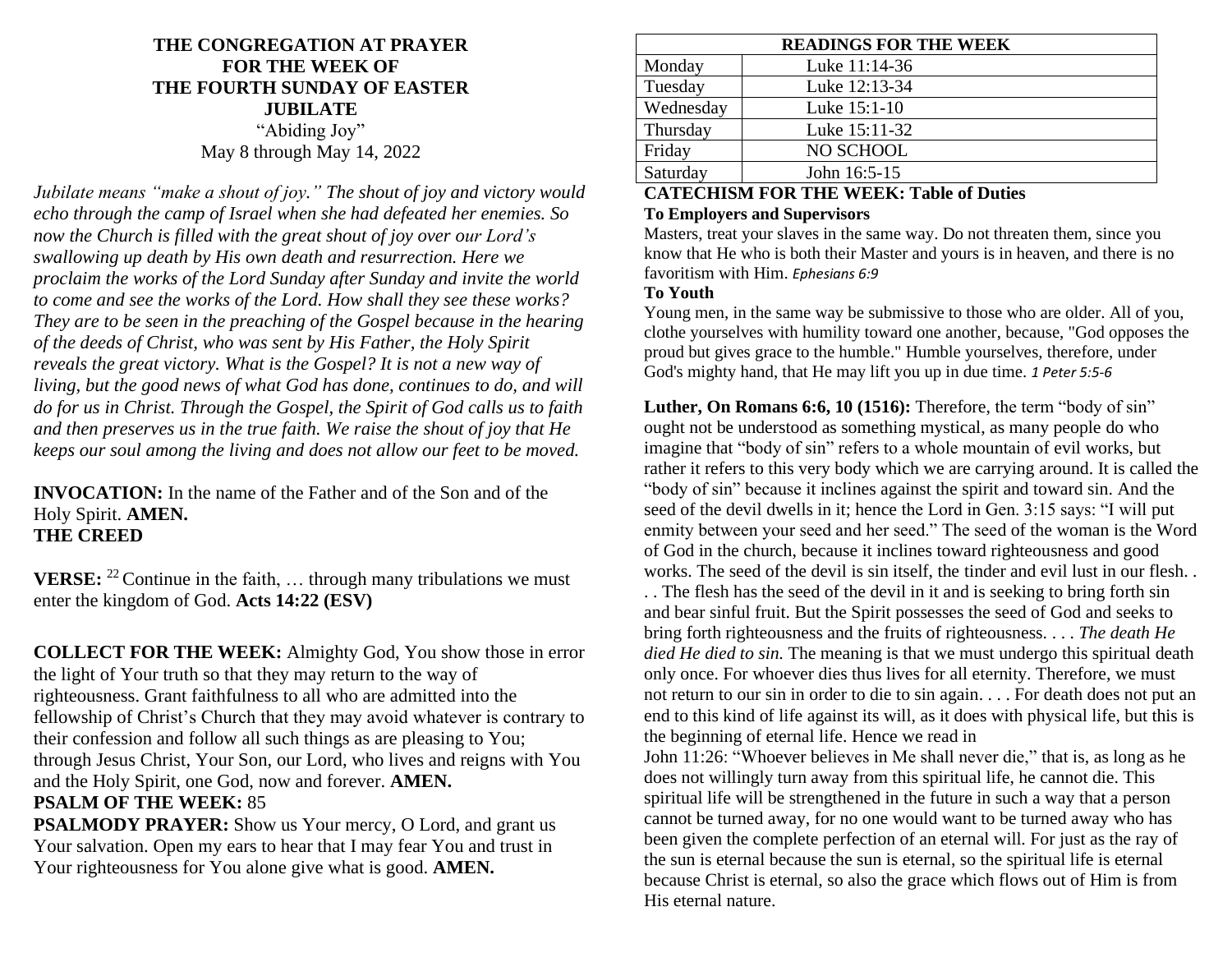# **THE CONGREGATION AT PRAYER FOR THE WEEK OF THE FOURTH SUNDAY OF EASTER JUBILATE** "Abiding Joy" May 8 through May 14, 2022

*Jubilate means "make a shout of joy." The shout of joy and victory would echo through the camp of Israel when she had defeated her enemies. So now the Church is filled with the great shout of joy over our Lord's swallowing up death by His own death and resurrection. Here we proclaim the works of the Lord Sunday after Sunday and invite the world to come and see the works of the Lord. How shall they see these works? They are to be seen in the preaching of the Gospel because in the hearing of the deeds of Christ, who was sent by His Father, the Holy Spirit reveals the great victory. What is the Gospel? It is not a new way of living, but the good news of what God has done, continues to do, and will do for us in Christ. Through the Gospel, the Spirit of God calls us to faith and then preserves us in the true faith. We raise the shout of joy that He keeps our soul among the living and does not allow our feet to be moved.*

**INVOCATION:** In the name of the Father and of the Son and of the Holy Spirit. **AMEN. THE CREED**

**VERSE:** <sup>22</sup> Continue in the faith, ... through many tribulations we must enter the kingdom of God. **Acts 14:22 (ESV)**

**COLLECT FOR THE WEEK:** Almighty God, You show those in error the light of Your truth so that they may return to the way of righteousness. Grant faithfulness to all who are admitted into the fellowship of Christ's Church that they may avoid whatever is contrary to their confession and follow all such things as are pleasing to You; through Jesus Christ, Your Son, our Lord, who lives and reigns with You and the Holy Spirit, one God, now and forever. **AMEN. PSALM OF THE WEEK:** 85

**PSALMODY PRAYER:** Show us Your mercy, O Lord, and grant us Your salvation. Open my ears to hear that I may fear You and trust in Your righteousness for You alone give what is good. **AMEN.**

| <b>READINGS FOR THE WEEK</b> |               |
|------------------------------|---------------|
| Monday                       | Luke 11:14-36 |
| Tuesday                      | Luke 12:13-34 |
| Wednesday                    | Luke 15:1-10  |
| Thursday                     | Luke 15:11-32 |
| Friday                       | NO SCHOOL     |
| Saturday                     | John 16:5-15  |

### **CATECHISM FOR THE WEEK: Table of Duties To Employers and Supervisors**

Masters, treat your slaves in the same way. Do not threaten them, since you know that He who is both their Master and yours is in heaven, and there is no favoritism with Him. *Ephesians 6:9*

### **To Youth**

Young men, in the same way be submissive to those who are older. All of you, clothe yourselves with humility toward one another, because, "God opposes the proud but gives grace to the humble." Humble yourselves, therefore, under God's mighty hand, that He may lift you up in due time. *1 Peter 5:5-6*

**Luther, On Romans 6:6, 10 (1516):** Therefore, the term "body of sin" ought not be understood as something mystical, as many people do who imagine that "body of sin" refers to a whole mountain of evil works, but rather it refers to this very body which we are carrying around. It is called the "body of sin" because it inclines against the spirit and toward sin. And the seed of the devil dwells in it; hence the Lord in Gen. 3:15 says: "I will put enmity between your seed and her seed." The seed of the woman is the Word of God in the church, because it inclines toward righteousness and good works. The seed of the devil is sin itself, the tinder and evil lust in our flesh. .

. . The flesh has the seed of the devil in it and is seeking to bring forth sin and bear sinful fruit. But the Spirit possesses the seed of God and seeks to bring forth righteousness and the fruits of righteousness. . . . *The death He died He died to sin.* The meaning is that we must undergo this spiritual death only once. For whoever dies thus lives for all eternity. Therefore, we must not return to our sin in order to die to sin again. . . . For death does not put an end to this kind of life against its will, as it does with physical life, but this is the beginning of eternal life. Hence we read in

John 11:26: "Whoever believes in Me shall never die," that is, as long as he does not willingly turn away from this spiritual life, he cannot die. This spiritual life will be strengthened in the future in such a way that a person cannot be turned away, for no one would want to be turned away who has been given the complete perfection of an eternal will. For just as the ray of the sun is eternal because the sun is eternal, so the spiritual life is eternal because Christ is eternal, so also the grace which flows out of Him is from His eternal nature.